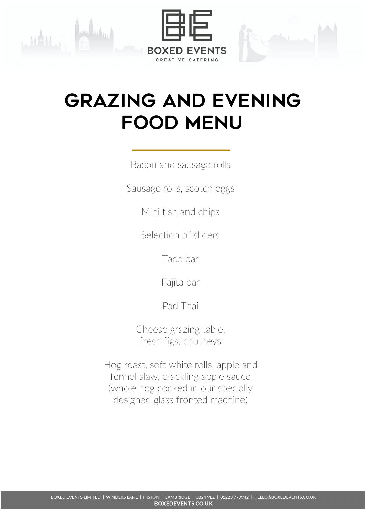





Bacon and sausage rolls

Sausage rolls, scotch eggs

Mini fish and chips

Selection of sliders

Taco bar

Fajita bar

Pad Thai

Cheese grazing table, fresh figs, chutneys

Hog roast, soft white rolls, apple and fennel slaw, crackling apple sauce (whole hog cooked in our specially designed glass fronted machine)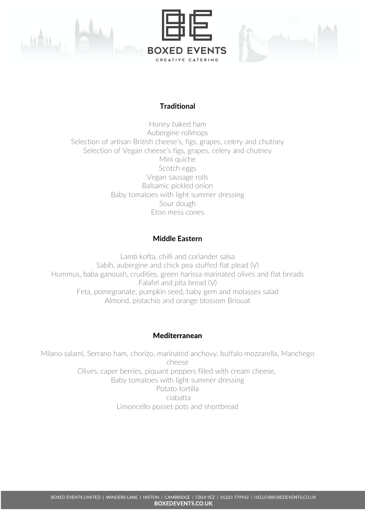

# **Traditional**

Honey baked ham Aubergine rollmops Selection of artisan British cheese's, figs, grapes, celery and chutney Selection of Vegan cheese's figs, grapes, celery and chutney Mini quiche Scotch eggs Vegan sausage rolls Balsamic pickled onion Baby tomatoes with light summer dressing Sour dough Eton mess cones

## **Middle Eastern**

Lamb kofta, chilli and coriander salsa Sabih, aubergine and chick pea stuffed flat plead (V) Hummus, baba ganoush, crudities, green harissa marinated olives and flat breads Falafel and pita bread (V) Feta, pomegranate, pumpkin seed, baby gem and molasses salad Almond, pistachio and orange blossom Briouat

### Mediterranean

Milano salami, Serrano ham, chorizo, marinated anchovy, buffalo mozzarella, Manchego cheese Olives, caper berries, piquant peppers filled with cream cheese, Baby tomatoes with light summer dressing Potato tortilla ciabatta Limoncello posset pots and shortbread